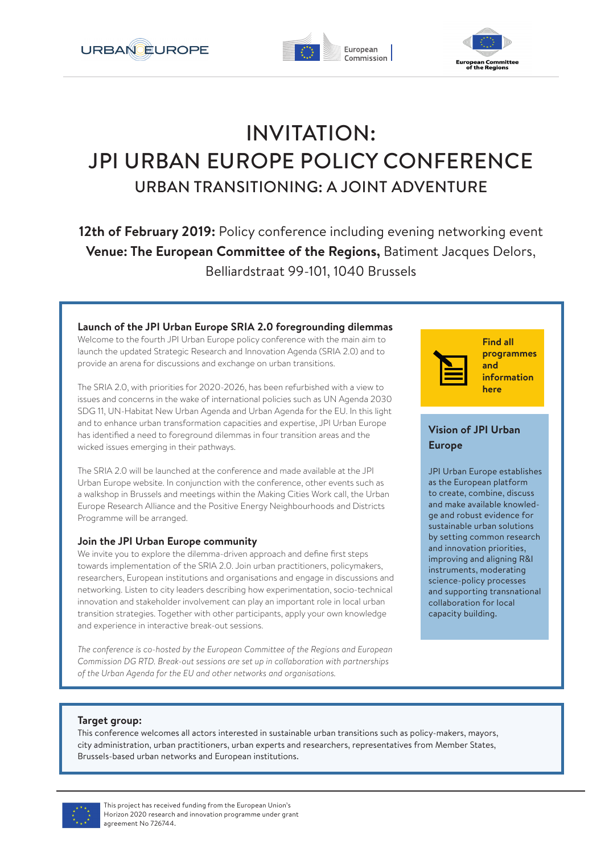





# INVITATION: JPI URBAN EUROPE POLICY CONFERENCE URBAN TRANSITIONING: A JOINT ADVENTURE

**12th of February 2019:** Policy conference including evening networking event **Venue: The European Committee of the Regions,** Batiment Jacques Delors, Belliardstraat 99-101, 1040 Brussels

#### **Launch of the JPI Urban Europe SRIA 2.0 foregrounding dilemmas**

Welcome to the fourth JPI Urban Europe policy conference with the main aim to launch the updated Strategic Research and Innovation Agenda (SRIA 2.0) and to provide an arena for discussions and exchange on urban transitions.

The SRIA 2.0, with priorities for 2020-2026, has been refurbished with a view to issues and concerns in the wake of international policies such as UN Agenda 2030 SDG 11, UN-Habitat New Urban Agenda and Urban Agenda for the EU. In this light and to enhance urban transformation capacities and expertise, JPI Urban Europe has identified a need to foreground dilemmas in four transition areas and the wicked issues emerging in their pathways.

The SRIA 2.0 will be launched at the conference and made available at the JPI Urban Europe website. In conjunction with the conference, other events such as a walkshop in Brussels and meetings within the Making Cities Work call, the Urban Europe Research Alliance and the Positive Energy Neighbourhoods and Districts Programme will be arranged.

#### **Join the JPI Urban Europe community**

We invite you to explore the dilemma-driven approach and define first steps towards implementation of the SRIA 2.0. Join urban practitioners, policymakers, researchers, European institutions and organisations and engage in discussions and networking. Listen to city leaders describing how experimentation, socio-technical innovation and stakeholder involvement can play an important role in local urban transition strategies. Together with other participants, apply your own knowledge and experience in interactive break-out sessions.

*The conference is co-hosted by the European Committee of the Regions and European Commission DG RTD. Break-out sessions are set up in collaboration with partnerships of the Urban Agenda for the EU and other networks and organisations.*



**Find all [programmes](https://delegia.com/app/netattm/attendee/page/80993) and information here**

#### **Vision of JPI Urban Europe**

JPI Urban Europe establishes as the European platform to create, combine, discuss and make available knowledge and robust evidence for sustainable urban solutions by setting common research and innovation priorities, improving and aligning R&I instruments, moderating science-policy processes and supporting transnational collaboration for local capacity building.

#### **Target group:**

This conference welcomes all actors interested in sustainable urban transitions such as policy-makers, mayors, city administration, urban practitioners, urban experts and researchers, representatives from Member States, Brussels-based urban networks and European institutions.

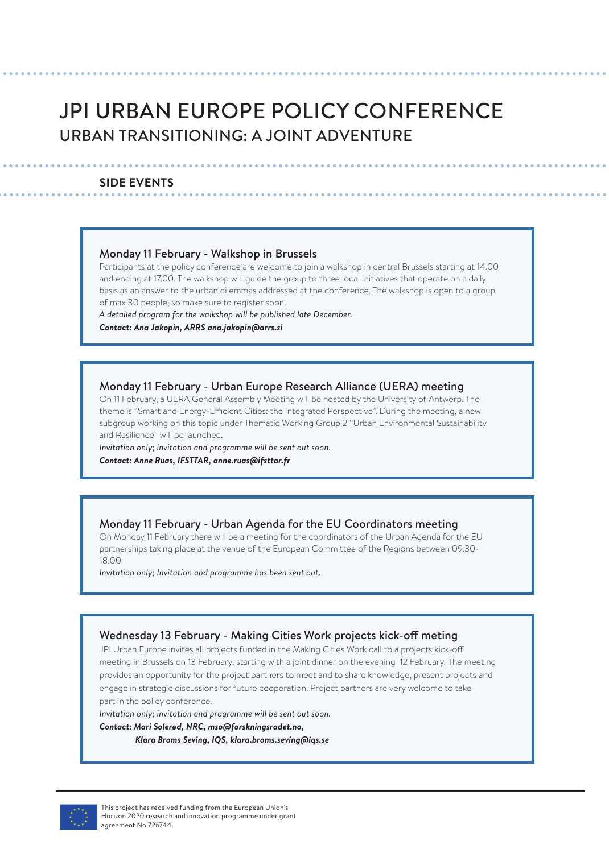# JPI URBAN EUROPE POLICY CONFERENCE URBAN TRANSITIONING: A JOINT ADVENTURE

#### **SIDE EVENTS**

#### Monday 11 February - Walkshop in Brussels

Participants at the policy conference are welcome to join a walkshop in central Brussels starting at 14.00 and ending at 17.00. The walkshop will guide the group to three local initiatives that operate on a daily basis as an answer to the urban dilemmas addressed at the conference. The walkshop is open to a group of max 30 people, so make sure to register soon.

*A detailed program for the walkshop will be published late December.*

*Contact: Ana Jakopin, ARRS ana.jakopin@arrs.si*

#### Monday 11 February - Urban Europe Research Alliance (UERA) meeting

On 11 February, a UERA General Assembly Meeting will be hosted by the University of Antwerp. The theme is "Smart and Energy-Efficient Cities: the Integrated Perspective". During the meeting, a new subgroup working on this topic under Thematic Working Group 2 "Urban Environmental Sustainability and Resilience" will be launched.

*Invitation only; invitation and programme will be sent out soon. Contact: Anne Ruas, IFSTTAR, anne.ruas@ifsttar.fr*

#### Monday 11 February - Urban Agenda for the EU Coordinators meeting

On Monday 11 February there will be a meeting for the coordinators of the Urban Agenda for the EU partnerships taking place at the venue of the European Committee of the Regions between 09.30- 18.00.

*Invitation only; Invitation and programme has been sent out.* 

#### Wednesday 13 February - Making Cities Work projects kick-off meting

JPI Urban Europe invites all projects funded in the Making Cities Work call to a projects kick-off meeting in Brussels on 13 February, starting with a joint dinner on the evening 12 February. The meeting provides an opportunity for the project partners to meet and to share knowledge, present projects and engage in strategic discussions for future cooperation. Project partners are very welcome to take part in the policy conference.

*Invitation only; invitation and programme will be sent out soon.*

*Contact: Mari Solerød, NRC, mso@forskningsradet.no, Klara Broms Seving, IQS, klara.broms.seving@iqs.se*

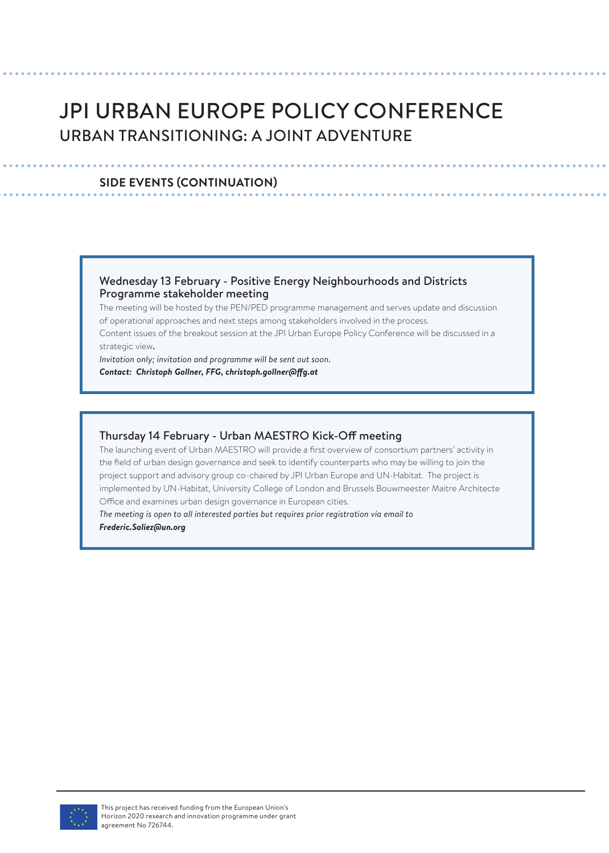# JPI URBAN EUROPE POLICY CONFERENCE URBAN TRANSITIONING: A JOINT ADVENTURE

#### **SIDE EVENTS (CONTINUATION)**

#### Wednesday 13 February - Positive Energy Neighbourhoods and Districts Programme stakeholder meeting

The meeting will be hosted by the PEN/PED programme management and serves update and discussion of operational approaches and next steps among stakeholders involved in the process.

Content issues of the breakout session at the JPI Urban Europe Policy Conference will be discussed in a strategic view.

*Invitation only; invitation and programme will be sent out soon. Contact: Christoph Gollner, FFG, christoph.gollner@ffg.at* 

#### Thursday 14 February - Urban MAESTRO Kick-Off meeting

The launching event of Urban MAESTRO will provide a first overview of consortium partners' activity in the field of urban design governance and seek to identify counterparts who may be willing to join the project support and advisory group co-chaired by JPI Urban Europe and UN-Habitat. The project is implemented by UN-Habitat, University College of London and Brussels Bouwmeester Maitre Architecte Office and examines urban design governance in European cities.

*The meeting is open to all interested parties but requires prior registration via email to Frederic.Saliez@un.org*

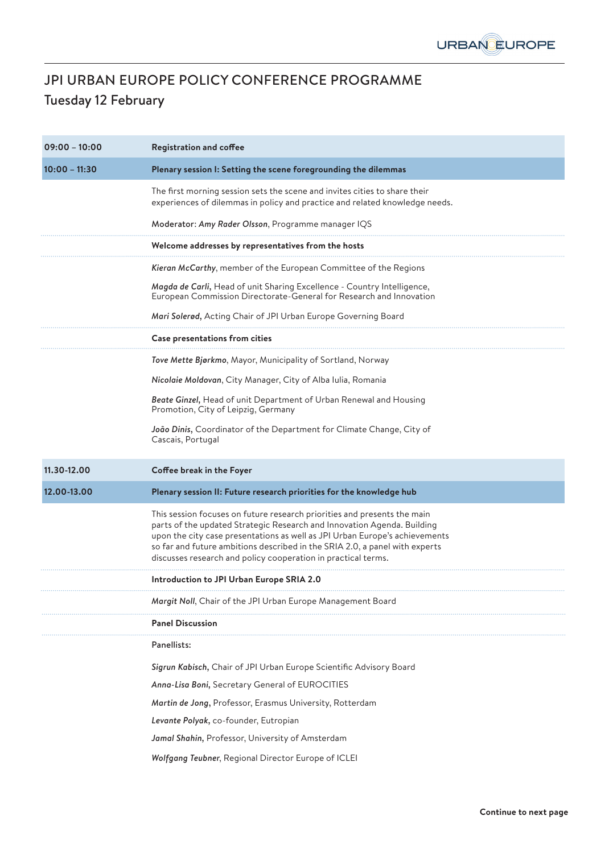

# JPI URBAN EUROPE POLICY CONFERENCE PROGRAMME Tuesday 12 February

| $09:00 - 10:00$ | <b>Registration and coffee</b>                                                                                                                                                                                                                                                                                                                                                     |
|-----------------|------------------------------------------------------------------------------------------------------------------------------------------------------------------------------------------------------------------------------------------------------------------------------------------------------------------------------------------------------------------------------------|
| $10:00 - 11:30$ | Plenary session I: Setting the scene foregrounding the dilemmas                                                                                                                                                                                                                                                                                                                    |
|                 | The first morning session sets the scene and invites cities to share their<br>experiences of dilemmas in policy and practice and related knowledge needs.                                                                                                                                                                                                                          |
|                 | Moderator: Amy Rader Olsson, Programme manager IQS                                                                                                                                                                                                                                                                                                                                 |
|                 | Welcome addresses by representatives from the hosts                                                                                                                                                                                                                                                                                                                                |
|                 | Kieran McCarthy, member of the European Committee of the Regions                                                                                                                                                                                                                                                                                                                   |
|                 | Magda de Carli, Head of unit Sharing Excellence - Country Intelligence,<br>European Commission Directorate-General for Research and Innovation                                                                                                                                                                                                                                     |
|                 | Mari Solerød, Acting Chair of JPI Urban Europe Governing Board                                                                                                                                                                                                                                                                                                                     |
|                 | Case presentations from cities                                                                                                                                                                                                                                                                                                                                                     |
|                 | Tove Mette Bjørkmo, Mayor, Municipality of Sortland, Norway                                                                                                                                                                                                                                                                                                                        |
|                 | Nicolaie Moldovan, City Manager, City of Alba Iulia, Romania                                                                                                                                                                                                                                                                                                                       |
|                 | Beate Ginzel, Head of unit Department of Urban Renewal and Housing<br>Promotion, City of Leipzig, Germany                                                                                                                                                                                                                                                                          |
|                 | João Dinis, Coordinator of the Department for Climate Change, City of<br>Cascais, Portugal                                                                                                                                                                                                                                                                                         |
|                 |                                                                                                                                                                                                                                                                                                                                                                                    |
| 11.30-12.00     | Coffee break in the Foyer                                                                                                                                                                                                                                                                                                                                                          |
| 12.00-13.00     | Plenary session II: Future research priorities for the knowledge hub                                                                                                                                                                                                                                                                                                               |
|                 | This session focuses on future research priorities and presents the main<br>parts of the updated Strategic Research and Innovation Agenda. Building<br>upon the city case presentations as well as JPI Urban Europe's achievements<br>so far and future ambitions described in the SRIA 2.0, a panel with experts<br>discusses research and policy cooperation in practical terms. |
|                 | Introduction to JPI Urban Europe SRIA 2.0                                                                                                                                                                                                                                                                                                                                          |
|                 | Margit Noll, Chair of the JPI Urban Europe Management Board                                                                                                                                                                                                                                                                                                                        |
|                 | <b>Panel Discussion</b>                                                                                                                                                                                                                                                                                                                                                            |
|                 | Panellists:                                                                                                                                                                                                                                                                                                                                                                        |
|                 | Sigrun Kabisch, Chair of JPI Urban Europe Scientific Advisory Board                                                                                                                                                                                                                                                                                                                |
|                 | Anna-Lisa Boni, Secretary General of EUROCITIES                                                                                                                                                                                                                                                                                                                                    |
|                 | Martin de Jong, Professor, Erasmus University, Rotterdam                                                                                                                                                                                                                                                                                                                           |
|                 | Levante Polyak, co-founder, Eutropian                                                                                                                                                                                                                                                                                                                                              |
|                 | Jamal Shahin, Professor, University of Amsterdam                                                                                                                                                                                                                                                                                                                                   |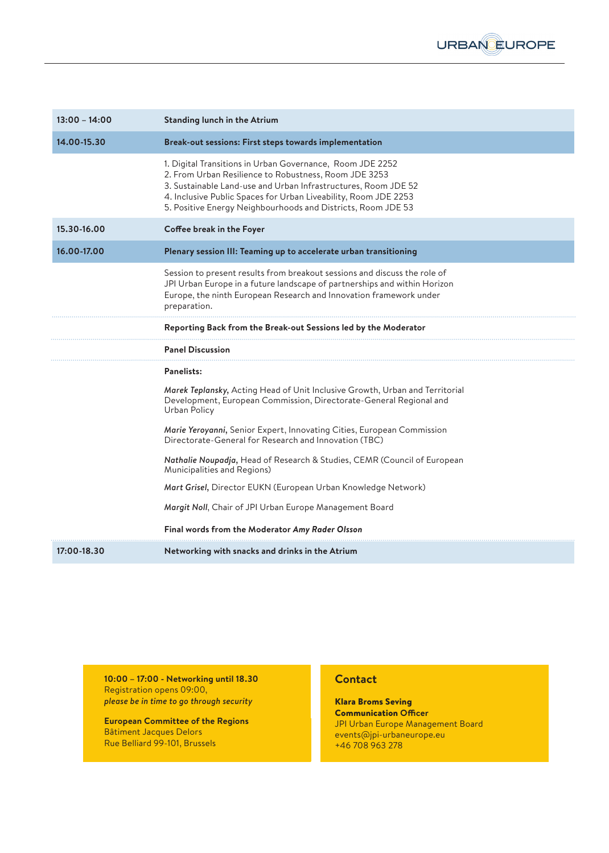

| $13:00 - 14:00$ | <b>Standing lunch in the Atrium</b>                                                                                                                                                                                                                                                                                     |
|-----------------|-------------------------------------------------------------------------------------------------------------------------------------------------------------------------------------------------------------------------------------------------------------------------------------------------------------------------|
| 14.00-15.30     | Break-out sessions: First steps towards implementation                                                                                                                                                                                                                                                                  |
|                 | 1. Digital Transitions in Urban Governance, Room JDE 2252<br>2. From Urban Resilience to Robustness, Room JDE 3253<br>3. Sustainable Land-use and Urban Infrastructures, Room JDE 52<br>4. Inclusive Public Spaces for Urban Liveability, Room JDE 2253<br>5. Positive Energy Neighbourhoods and Districts, Room JDE 53 |
| 15.30-16.00     | Coffee break in the Foyer                                                                                                                                                                                                                                                                                               |
| 16.00-17.00     | Plenary session III: Teaming up to accelerate urban transitioning                                                                                                                                                                                                                                                       |
|                 | Session to present results from breakout sessions and discuss the role of<br>JPI Urban Europe in a future landscape of partnerships and within Horizon<br>Europe, the ninth European Research and Innovation framework under<br>preparation.                                                                            |
|                 | Reporting Back from the Break-out Sessions led by the Moderator                                                                                                                                                                                                                                                         |
|                 | <b>Panel Discussion</b>                                                                                                                                                                                                                                                                                                 |
|                 | <b>Panelists:</b>                                                                                                                                                                                                                                                                                                       |
|                 | Marek Teplansky, Acting Head of Unit Inclusive Growth, Urban and Territorial<br>Development, European Commission, Directorate-General Regional and<br>Urban Policy                                                                                                                                                      |
|                 | Marie Yeroyanni, Senior Expert, Innovating Cities, European Commission<br>Directorate-General for Research and Innovation (TBC)                                                                                                                                                                                         |
|                 | Nathalie Noupadja, Head of Research & Studies, CEMR (Council of European<br>Municipalities and Regions)                                                                                                                                                                                                                 |
|                 | Mart Grisel, Director EUKN (European Urban Knowledge Network)                                                                                                                                                                                                                                                           |
|                 | Margit Noll, Chair of JPI Urban Europe Management Board                                                                                                                                                                                                                                                                 |
|                 | Final words from the Moderator Amy Rader Olsson                                                                                                                                                                                                                                                                         |
| 17:00-18.30     | Networking with snacks and drinks in the Atrium                                                                                                                                                                                                                                                                         |

**10:00 – 17:00 - Networking until 18.30** Registration opens 09:00, *please be in time to go through security*

**European Committee of the Regions** Bâtiment Jacques Delors Rue Belliard 99-101, Brussels

#### **Contact**

Klara Broms Seving Communication **Officer** JPI Urban Europe Management Board events@jpi-urbaneurope.eu +46 708 963 278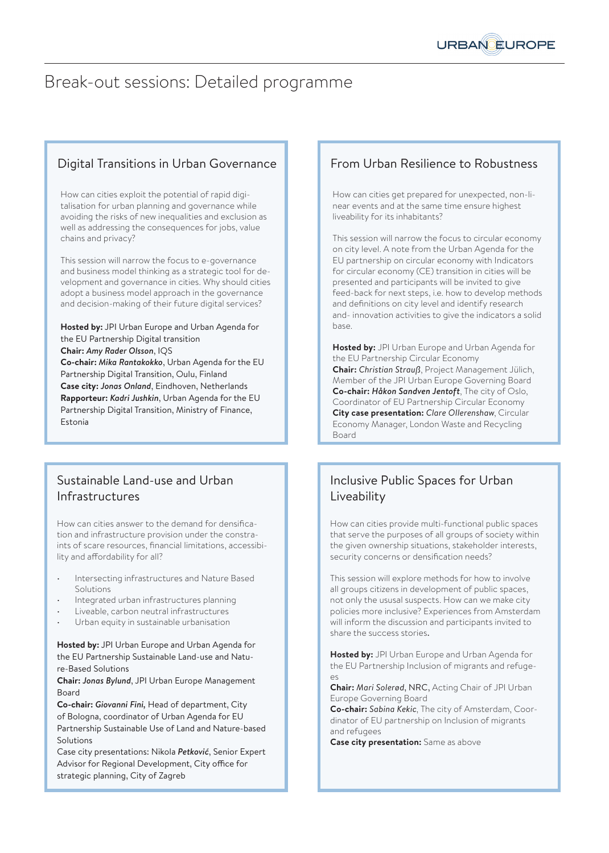# Break-out sessions: Detailed programme

### Digital Transitions in Urban Governance

How can cities exploit the potential of rapid digitalisation for urban planning and governance while avoiding the risks of new inequalities and exclusion as well as addressing the consequences for jobs, value chains and privacy?

This session will narrow the focus to e-governance and business model thinking as a strategic tool for development and governance in cities. Why should cities adopt a business model approach in the governance and decision-making of their future digital services?

#### **Hosted by:** JPI Urban Europe and Urban Agenda for the EU Partnership Digital transition **Chair:** *Amy Rader Olsson*, IQS **Co-chair:** *Mika Rantakokko*, Urban Agenda for the EU

Partnership Digital Transition, Oulu, Finland **Case city:** *Jonas Onland*, Eindhoven, Netherlands **Rapporteur:** *Kadri Jushkin*, Urban Agenda for the EU Partnership Digital Transition, Ministry of Finance, Estonia

### Sustainable Land-use and Urban Infrastructures

How can cities answer to the demand for densification and infrastructure provision under the constraints of scare resources, financial limitations, accessibility and affordability for all?

- Intersecting infrastructures and Nature Based Solutions
- Integrated urban infrastructures planning
- Liveable, carbon neutral infrastructures
- Urban equity in sustainable urbanisation

**Hosted by:** JPI Urban Europe and Urban Agenda for the EU Partnership Sustainable Land-use and Nature-Based Solutions

#### **Chair:** *Jonas Bylund*, JPI Urban Europe Management Board

**Co-chair:** *Giovanni Fini,* Head of department, City of Bologna, coordinator of Urban Agenda for EU Partnership Sustainable Use of Land and Nature-based Solutions

Case city presentations: Nikola *Petković*, Senior Expert Advisor for Regional Development, City office for strategic planning, City of Zagreb

## From Urban Resilience to Robustness

How can cities get prepared for unexpected, non-linear events and at the same time ensure highest liveability for its inhabitants?

This session will narrow the focus to circular economy on city level. A note from the Urban Agenda for the EU partnership on circular economy with Indicators for circular economy (CE) transition in cities will be presented and participants will be invited to give feed-back for next steps, i.e. how to develop methods and definitions on city level and identify research and- innovation activities to give the indicators a solid base.

**Hosted by:** JPI Urban Europe and Urban Agenda for the EU Partnership Circular Economy **Chair:** *Christian Strauß*, Project Management Jülich, Member of the JPI Urban Europe Governing Board **Co-chair:** *Håkon Sandven Jentoft*, The city of Oslo, Coordinator of EU Partnership Circular Economy **City case presentation:** *Clare Ollerenshaw*, Circular Economy Manager, London Waste and Recycling Board

## Inclusive Public Spaces for Urban **Liveability**

How can cities provide multi-functional public spaces that serve the purposes of all groups of society within the given ownership situations, stakeholder interests, security concerns or densification needs?

This session will explore methods for how to involve all groups citizens in development of public spaces, not only the ususal suspects. How can we make city policies more inclusive? Experiences from Amsterdam will inform the discussion and participants invited to share the success stories.

**Hosted by:** JPI Urban Europe and Urban Agenda for the EU Partnership Inclusion of migrants and refuge- $\alpha$ 

**Chair:** *Mari Solerød*, NRC, Acting Chair of JPI Urban Europe Governing Board

**Co-chair:** *Sabina Kekic*, The city of Amsterdam, Coordinator of EU partnership on Inclusion of migrants and refugees

**Case city presentation:** Same as above